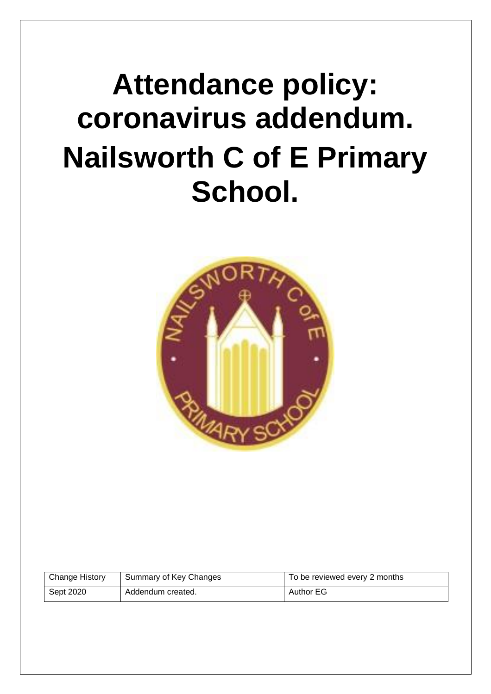# **Attendance policy: coronavirus addendum. Nailsworth C of E Primary School.**



| <b>Change History</b> | Summary of Key Changes | To be reviewed every 2 months |
|-----------------------|------------------------|-------------------------------|
| Sept 2020             | Addendum created.      | <b>Author EG</b>              |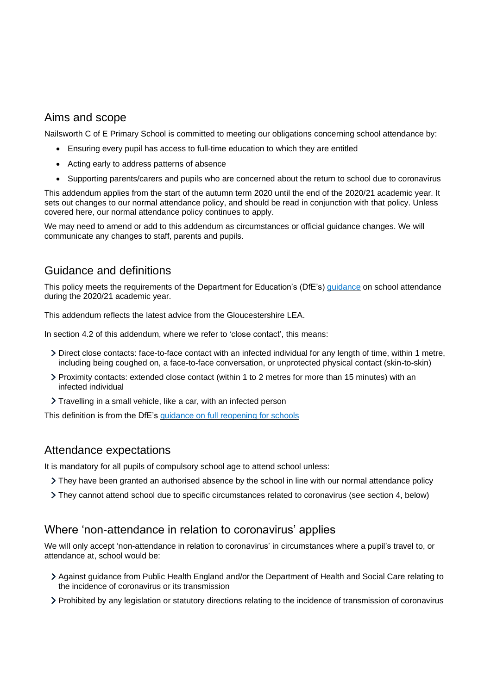#### Aims and scope

Nailsworth C of E Primary School is committed to meeting our obligations concerning school attendance by:

- Ensuring every pupil has access to full-time education to which they are entitled
- Acting early to address patterns of absence
- Supporting parents/carers and pupils who are concerned about the return to school due to coronavirus

This addendum applies from the start of the autumn term 2020 until the end of the 2020/21 academic year. It sets out changes to our normal attendance policy, and should be read in conjunction with that policy. Unless covered here, our normal attendance policy continues to apply.

We may need to amend or add to this addendum as circumstances or official guidance changes. We will communicate any changes to staff, parents and pupils.

## Guidance and definitions

This policy meets the requirements of the Department for Education's (DfE's) [guidance](https://www.gov.uk/government/publications/school-attendance/addendum-recording-attendance-in-relation-to-coronavirus-covid-19-during-the-2020-to-2021-academic-year) on school attendance during the 2020/21 academic year.

This addendum reflects the latest advice from the Gloucestershire LEA.

In section 4.2 of this addendum, where we refer to 'close contact', this means:

- Direct close contacts: face-to-face contact with an infected individual for any length of time, within 1 metre, including being coughed on, a face-to-face conversation, or unprotected physical contact (skin-to-skin)
- Proximity contacts: extended close contact (within 1 to 2 metres for more than 15 minutes) with an infected individual
- Travelling in a small vehicle, like a car, with an infected person

This definition is from the DfE's [guidance on full reopening for schools](https://www.gov.uk/government/publications/actions-for-schools-during-the-coronavirus-outbreak/guidance-for-full-opening-schools)

#### Attendance expectations

It is mandatory for all pupils of compulsory school age to attend school unless:

- They have been granted an authorised absence by the school in line with our normal attendance policy
- They cannot attend school due to specific circumstances related to coronavirus (see section 4, below)

#### Where 'non-attendance in relation to coronavirus' applies

We will only accept 'non-attendance in relation to coronavirus' in circumstances where a pupil's travel to, or attendance at, school would be:

- Against guidance from Public Health England and/or the Department of Health and Social Care relating to the incidence of coronavirus or its transmission
- Prohibited by any legislation or statutory directions relating to the incidence of transmission of coronavirus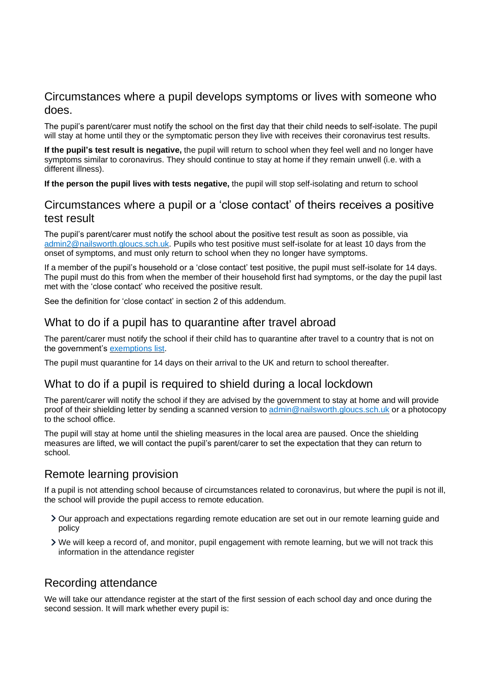#### Circumstances where a pupil develops symptoms or lives with someone who does.

The pupil's parent/carer must notify the school on the first day that their child needs to self-isolate. The pupil will stay at home until they or the symptomatic person they live with receives their coronavirus test results.

**If the pupil's test result is negative,** the pupil will return to school when they feel well and no longer have symptoms similar to coronavirus. They should continue to stay at home if they remain unwell (i.e. with a different illness).

**If the person the pupil lives with tests negative,** the pupil will stop self-isolating and return to school

#### Circumstances where a pupil or a 'close contact' of theirs receives a positive test result

The pupil's parent/carer must notify the school about the positive test result as soon as possible, via [admin2@nailsworth.gloucs.sch.uk.](mailto:admin2@nailsworth.gloucs.sch.uk) Pupils who test positive must self-isolate for at least 10 days from the onset of symptoms, and must only return to school when they no longer have symptoms.

If a member of the pupil's household or a 'close contact' test positive, the pupil must self-isolate for 14 days. The pupil must do this from when the member of their household first had symptoms, or the day the pupil last met with the 'close contact' who received the positive result.

See the definition for 'close contact' in section 2 of this addendum.

## What to do if a pupil has to quarantine after travel abroad

The parent/carer must notify the school if their child has to quarantine after travel to a country that is not on the government's [exemptions](https://www.gov.uk/guidance/coronavirus-covid-19-travel-corridors#countries-and-territories-with-no-self-isolation-requirement-on-arrival-in-england) list.

The pupil must quarantine for 14 days on their arrival to the UK and return to school thereafter.

## What to do if a pupil is required to shield during a local lockdown

The parent/carer will notify the school if they are advised by the government to stay at home and will provide proof of their shielding letter by sending a scanned version to [admin@nailsworth.gloucs.sch.uk](mailto:admin@nailsworth.gloucs.sch.uk) or a photocopy to the school office.

The pupil will stay at home until the shieling measures in the local area are paused. Once the shielding measures are lifted, we will contact the pupil's parent/carer to set the expectation that they can return to school.

## Remote learning provision

If a pupil is not attending school because of circumstances related to coronavirus, but where the pupil is not ill, the school will provide the pupil access to remote education.

- Our approach and expectations regarding remote education are set out in our remote learning guide and policy
- We will keep a record of, and monitor, pupil engagement with remote learning, but we will not track this information in the attendance register

## Recording attendance

We will take our attendance register at the start of the first session of each school day and once during the second session. It will mark whether every pupil is: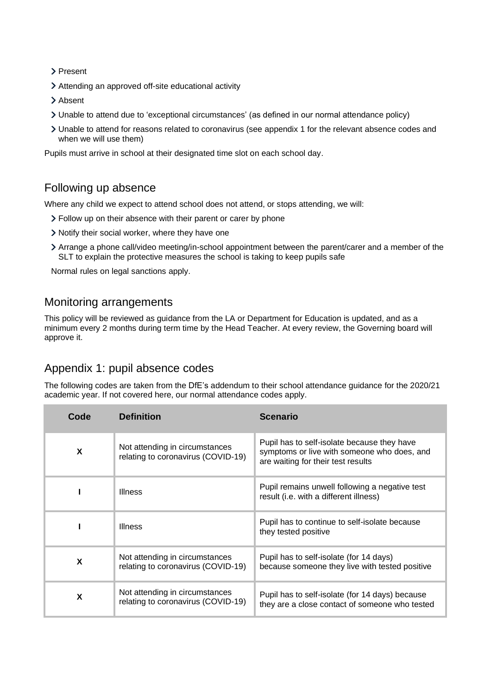Present

Attending an approved off-site educational activity

- > Absent
- Unable to attend due to 'exceptional circumstances' (as defined in our normal attendance policy)
- Unable to attend for reasons related to coronavirus (see appendix 1 for the relevant absence codes and when we will use them)

Pupils must arrive in school at their designated time slot on each school day.

## Following up absence

Where any child we expect to attend school does not attend, or stops attending, we will:

- Follow up on their absence with their parent or carer by phone
- Notify their social worker, where they have one
- Arrange a phone call/video meeting/in-school appointment between the parent/carer and a member of the SLT to explain the protective measures the school is taking to keep pupils safe

Normal rules on legal sanctions apply.

#### Monitoring arrangements

This policy will be reviewed as guidance from the LA or Department for Education is updated, and as a minimum every 2 months during term time by the Head Teacher. At every review, the Governing board will approve it.

## Appendix 1: pupil absence codes

The following codes are taken from the DfE's addendum to their school attendance guidance for the 2020/21 academic year. If not covered here, our normal attendance codes apply.

| Code | <b>Definition</b>                                                    | <b>Scenario</b>                                                                                                                  |
|------|----------------------------------------------------------------------|----------------------------------------------------------------------------------------------------------------------------------|
| X    | Not attending in circumstances<br>relating to coronavirus (COVID-19) | Pupil has to self-isolate because they have<br>symptoms or live with someone who does, and<br>are waiting for their test results |
|      | <b>Illness</b>                                                       | Pupil remains unwell following a negative test<br>result (i.e. with a different illness)                                         |
|      | <b>Illness</b>                                                       | Pupil has to continue to self-isolate because<br>they tested positive                                                            |
| X    | Not attending in circumstances<br>relating to coronavirus (COVID-19) | Pupil has to self-isolate (for 14 days)<br>because someone they live with tested positive                                        |
| X    | Not attending in circumstances<br>relating to coronavirus (COVID-19) | Pupil has to self-isolate (for 14 days) because<br>they are a close contact of someone who tested                                |